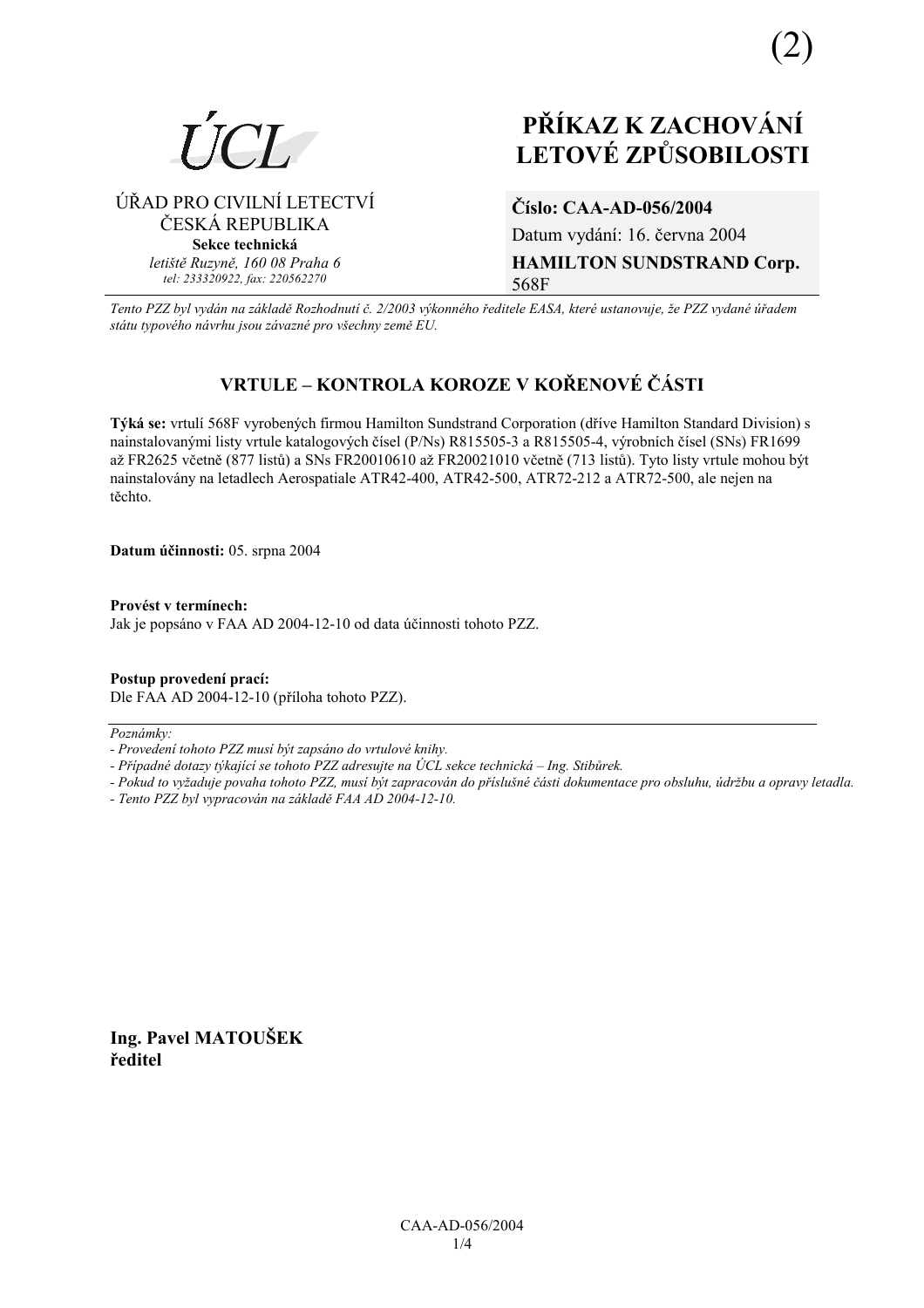

# **PŘÍKAZ K ZACHOVÁNÍ LETOV… ZPŮSOBILOSTI**

⁄ŘAD PRO CIVILNÕ LETECTVÕ ČESKÁ REPUBLIKA **Sekce technická** *letiötě Ruzyně, 160 08 Praha 6 tel: 233320922, fax: 220562270*

**ČÌslo: CAA-AD-056/2004**  Datum vydání: 16. června 2004 **HAMILTON SUNDSTRAND Corp.**  568F

*Tento PZZ byl vyd·n na z·kladě RozhodnutÌ č. 2/2003 v˝konnÈho ředitele EASA, kterÈ ustanovuje, ûe PZZ vydanÈ ˙řadem st·tu typovÈho n·vrhu jsou z·vaznÈ pro vöechny země EU.*

# **VRTULE ñ KONTROLA KOROZE V KOŘENOV… Č£STI**

Týká se: vrtulí 568F vyrobených firmou Hamilton Sundstrand Corporation (dříve Hamilton Standard Division) s nainstalovanými listy vrtule katalogových čísel (P/Ns) R815505-3 a R815505-4, výrobních čísel (SNs) FR1699 až FR2625 včetně (877 listů) a SNs FR20010610 až FR20021010 včetně (713 listů). Tyto listy vrtule mohou být nainstalovány na letadlech Aerospatiale ATR42-400, ATR42-500, ATR72-212 a ATR72-500, ale nejen na těchto.

**Datum ˙činnosti:** 05. srpna 2004

**ProvÈst v termÌnech:**  Jak je popsáno v FAA AD 2004-12-10 od data účinnosti tohoto PZZ.

**Postup provedenÌ pracÌ:**  Dle FAA AD 2004-12-10 (příloha tohoto PZZ).

 $Poznámky:$ 

*- ProvedenÌ tohoto PZZ musÌ b˝t zaps·no do vrtulovÈ knihy.* 

- Případné dotazy týkající se tohoto PZZ adresujte na ÚCL sekce technická – Ing. Stibůrek.

*- Pokud to vyûaduje povaha tohoto PZZ, musÌ b˝t zapracov·n do přÌsluönÈ č·sti dokumentace pro obsluhu, ˙drûbu a opravy letadla.* 

*- Tento PZZ byl vypracov·n na z·kladě FAA AD 2004-12-10.* 

**Ing. Pavel MATOUäEK ředitel**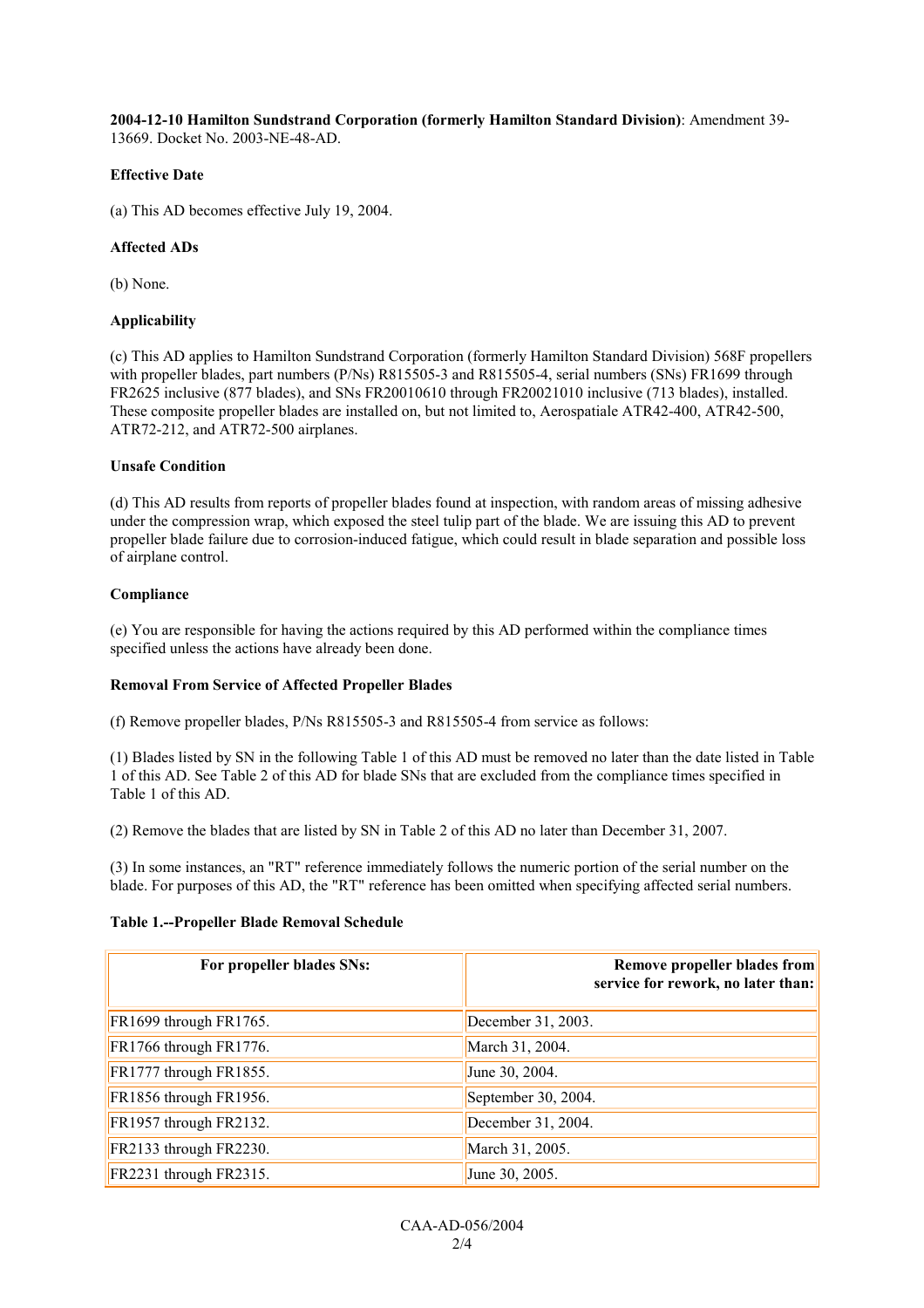**2004-12-10 Hamilton Sundstrand Corporation (formerly Hamilton Standard Division)**: Amendment 39- 13669. Docket No. 2003-NE-48-AD.

# **Effective Date**

(a) This AD becomes effective July 19, 2004.

# **Affected ADs**

(b) None.

# **Applicability**

(c) This AD applies to Hamilton Sundstrand Corporation (formerly Hamilton Standard Division) 568F propellers with propeller blades, part numbers (P/Ns) R815505-3 and R815505-4, serial numbers (SNs) FR1699 through FR2625 inclusive (877 blades), and SNs FR20010610 through FR20021010 inclusive (713 blades), installed. These composite propeller blades are installed on, but not limited to, Aerospatiale ATR42-400, ATR42-500, ATR72-212, and ATR72-500 airplanes.

#### **Unsafe Condition**

(d) This AD results from reports of propeller blades found at inspection, with random areas of missing adhesive under the compression wrap, which exposed the steel tulip part of the blade. We are issuing this AD to prevent propeller blade failure due to corrosion-induced fatigue, which could result in blade separation and possible loss of airplane control.

# **Compliance**

(e) You are responsible for having the actions required by this AD performed within the compliance times specified unless the actions have already been done.

# **Removal From Service of Affected Propeller Blades**

(f) Remove propeller blades, P/Ns R815505-3 and R815505-4 from service as follows:

(1) Blades listed by SN in the following Table 1 of this AD must be removed no later than the date listed in Table 1 of this AD. See Table 2 of this AD for blade SNs that are excluded from the compliance times specified in Table 1 of this AD.

(2) Remove the blades that are listed by SN in Table 2 of this AD no later than December 31, 2007.

(3) In some instances, an "RT" reference immediately follows the numeric portion of the serial number on the blade. For purposes of this AD, the "RT" reference has been omitted when specifying affected serial numbers.

#### **Table 1.--Propeller Blade Removal Schedule**

| For propeller blades SNs: | Remove propeller blades from<br>service for rework, no later than: |
|---------------------------|--------------------------------------------------------------------|
| FR1699 through FR1765.    | December 31, 2003.                                                 |
| FR1766 through FR1776.    | March 31, 2004.                                                    |
| FR1777 through FR1855.    | June 30, 2004.                                                     |
| FR1856 through FR1956.    | September 30, 2004.                                                |
| FR1957 through FR2132.    | December 31, 2004.                                                 |
| FR2133 through FR2230.    | March 31, 2005.                                                    |
| FR2231 through FR2315.    | June 30, 2005.                                                     |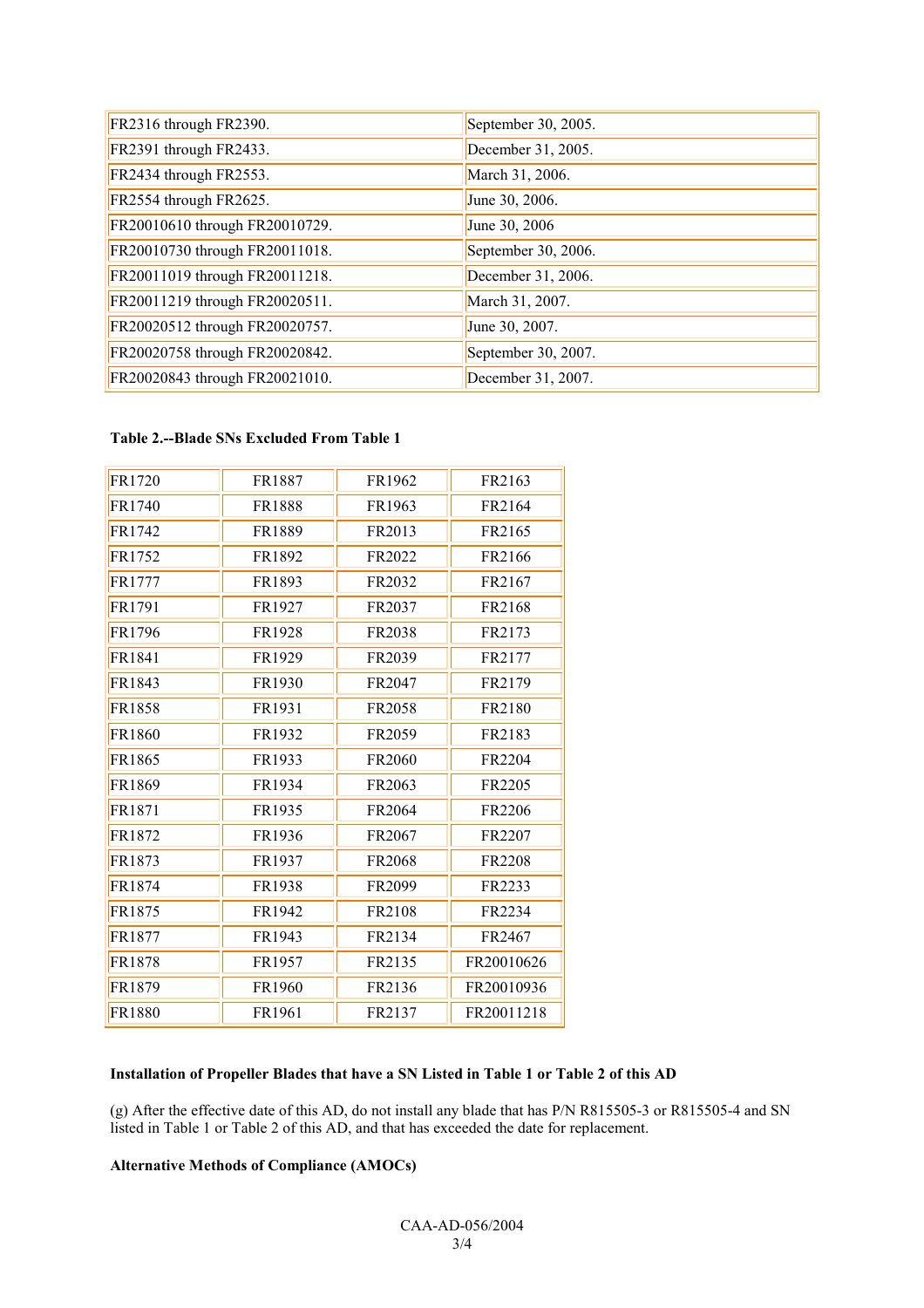| FR2316 through FR2390.         | September 30, 2005. |
|--------------------------------|---------------------|
| FR2391 through FR2433.         | December 31, 2005.  |
| FR2434 through FR2553.         | March 31, 2006.     |
| FR2554 through FR2625.         | June 30, 2006.      |
| FR20010610 through FR20010729. | June 30, 2006       |
| FR20010730 through FR20011018. | September 30, 2006. |
| FR20011019 through FR20011218. | December 31, 2006.  |
| FR20011219 through FR20020511. | March 31, 2007.     |
| FR20020512 through FR20020757. | June 30, 2007.      |
| FR20020758 through FR20020842. | September 30, 2007. |
| FR20020843 through FR20021010. | December 31, 2007.  |

# **Table 2.--Blade SNs Excluded From Table 1**

| FR1720 | FR1887        | FR1962 | FR2163        |
|--------|---------------|--------|---------------|
| FR1740 | <b>FR1888</b> | FR1963 | FR2164        |
| FR1742 | FR1889        | FR2013 | FR2165        |
| FR1752 | FR1892        | FR2022 | FR2166        |
| FR1777 | FR1893        | FR2032 | FR2167        |
| FR1791 | FR1927        | FR2037 | FR2168        |
| FR1796 | FR1928        | FR2038 | FR2173        |
| FR1841 | FR1929        | FR2039 | FR2177        |
| FR1843 | FR1930        | FR2047 | FR2179        |
| FR1858 | FR1931        | FR2058 | FR2180        |
| FR1860 | FR1932        | FR2059 | FR2183        |
| FR1865 | FR1933        | FR2060 | FR2204        |
| FR1869 | FR1934        | FR2063 | FR2205        |
| FR1871 | FR1935        | FR2064 | FR2206        |
| FR1872 | FR1936        | FR2067 | FR2207        |
| FR1873 | FR1937        | FR2068 | <b>FR2208</b> |
| FR1874 | FR1938        | FR2099 | FR2233        |
| FR1875 | FR1942        | FR2108 | FR2234        |
| FR1877 | FR1943        | FR2134 | FR2467        |
| FR1878 | FR1957        | FR2135 | FR20010626    |
| FR1879 | FR1960        | FR2136 | FR20010936    |
| FR1880 | FR1961        | FR2137 | FR20011218    |

# **Installation of Propeller Blades that have a SN Listed in Table 1 or Table 2 of this AD**

(g) After the effective date of this AD, do not install any blade that has P/N R815505-3 or R815505-4 and SN listed in Table 1 or Table 2 of this AD, and that has exceeded the date for replacement.

# **Alternative Methods of Compliance (AMOCs)**